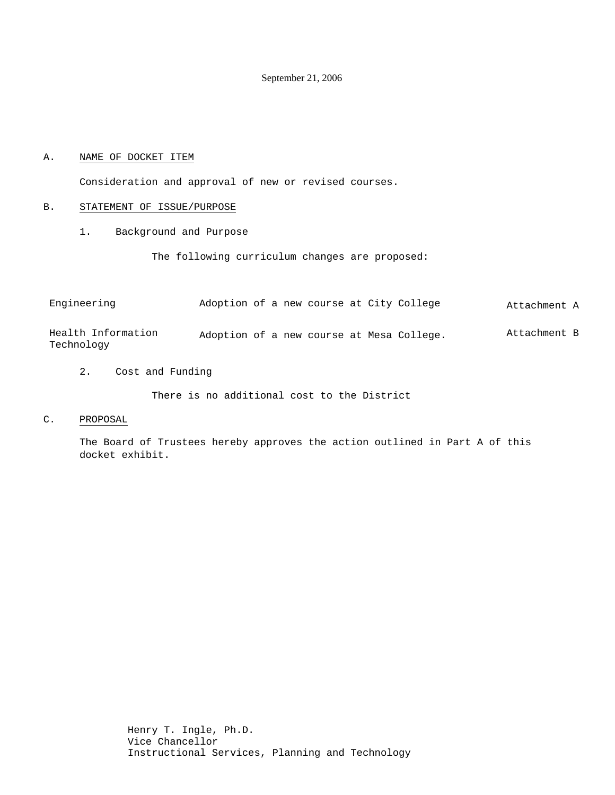September 21, 2006

#### A. NAME OF DOCKET ITEM

Consideration and approval of new or revised courses.

#### B. STATEMENT OF ISSUE/PURPOSE

1. Background and Purpose

The following curriculum changes are proposed:

| Engineering        | Adoption of a new course at City College  |  |  |  | Attachment A |
|--------------------|-------------------------------------------|--|--|--|--------------|
| Health Information | Adoption of a new course at Mesa College. |  |  |  | Attachment B |

2. Cost and Funding

There is no additional cost to the District

C. PROPOSAL

Technology

The Board of Trustees hereby approves the action outlined in Part A of this docket exhibit.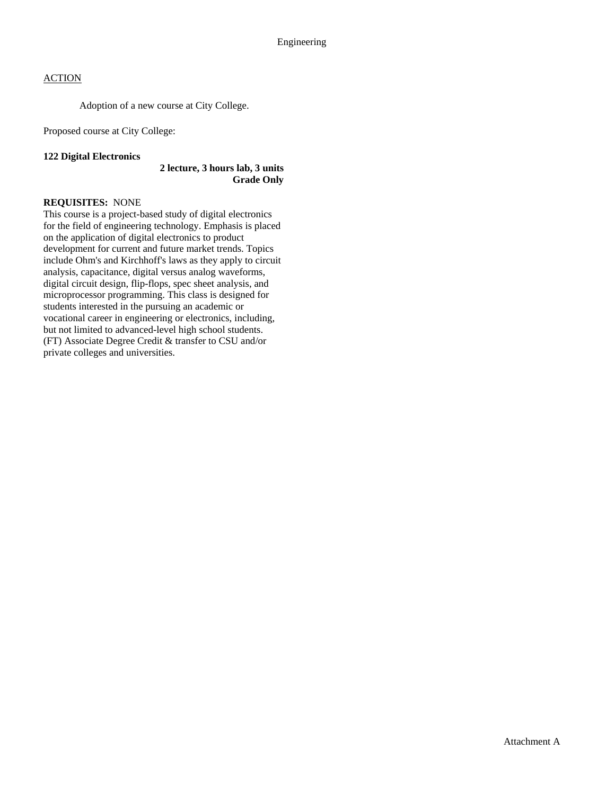# **ACTION**

Adoption of a new course at City College.

Proposed course at City College:

#### **122 Digital Electronics**

#### **2 lecture, 3 hours lab, 3 units Grade Only**

### **REQUISITES:** NONE

This course is a project-based study of digital electronics for the field of engineering technology. Emphasis is placed on the application of digital electronics to product development for current and future market trends. Topics include Ohm's and Kirchhoff's laws as they apply to circuit analysis, capacitance, digital versus analog waveforms, digital circuit design, flip-flops, spec sheet analysis, and microprocessor programming. This class is designed for students interested in the pursuing an academic or vocational career in engineering or electronics, including, but not limited to advanced-level high school students. (FT) Associate Degree Credit & transfer to CSU and/or private colleges and universities.